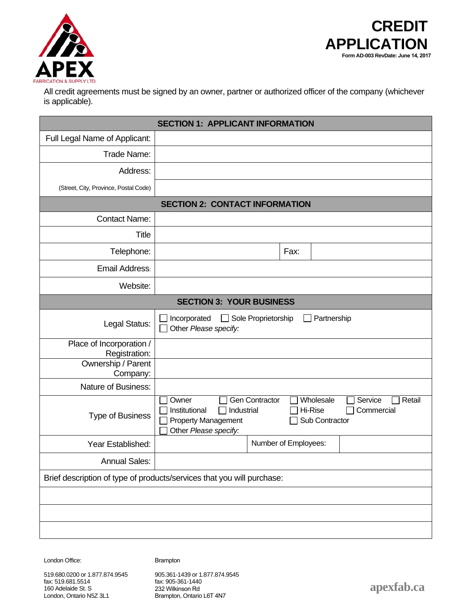



All credit agreements must be signed by an owner, partner or authorized officer of the company (whichever is applicable).

| <b>SECTION 1: APPLICANT INFORMATION</b>   |                                                                                                                                                                                                   |  |  |
|-------------------------------------------|---------------------------------------------------------------------------------------------------------------------------------------------------------------------------------------------------|--|--|
| Full Legal Name of Applicant:             |                                                                                                                                                                                                   |  |  |
| Trade Name:                               |                                                                                                                                                                                                   |  |  |
| Address:                                  |                                                                                                                                                                                                   |  |  |
| (Street, City, Province, Postal Code)     |                                                                                                                                                                                                   |  |  |
| <b>SECTION 2: CONTACT INFORMATION</b>     |                                                                                                                                                                                                   |  |  |
| <b>Contact Name:</b>                      |                                                                                                                                                                                                   |  |  |
| <b>Title</b>                              |                                                                                                                                                                                                   |  |  |
| Telephone:                                | Fax:                                                                                                                                                                                              |  |  |
| Email Address:                            |                                                                                                                                                                                                   |  |  |
| Website:                                  |                                                                                                                                                                                                   |  |  |
| <b>SECTION 3: YOUR BUSINESS</b>           |                                                                                                                                                                                                   |  |  |
| Legal Status:                             | Sole Proprietorship<br>Incorporated<br>Partnership<br>$\mathbf{I}$<br>Other Please specify:                                                                                                       |  |  |
| Place of Incorporation /<br>Registration: |                                                                                                                                                                                                   |  |  |
| Ownership / Parent<br>Company:            |                                                                                                                                                                                                   |  |  |
| Nature of Business:                       |                                                                                                                                                                                                   |  |  |
| <b>Type of Business</b>                   | <b>Gen Contractor</b><br>Wholesale<br>Owner<br>Service<br>Retail<br>Industrial<br>Institutional<br>Hi-Rise<br>Commercial<br>Sub Contractor<br><b>Property Management</b><br>Other Please specify: |  |  |
| Year Established:                         | Number of Employees:                                                                                                                                                                              |  |  |
| <b>Annual Sales:</b>                      |                                                                                                                                                                                                   |  |  |
|                                           | Brief description of type of products/services that you will purchase:                                                                                                                            |  |  |
|                                           |                                                                                                                                                                                                   |  |  |
|                                           |                                                                                                                                                                                                   |  |  |
|                                           |                                                                                                                                                                                                   |  |  |

London Office: Brampton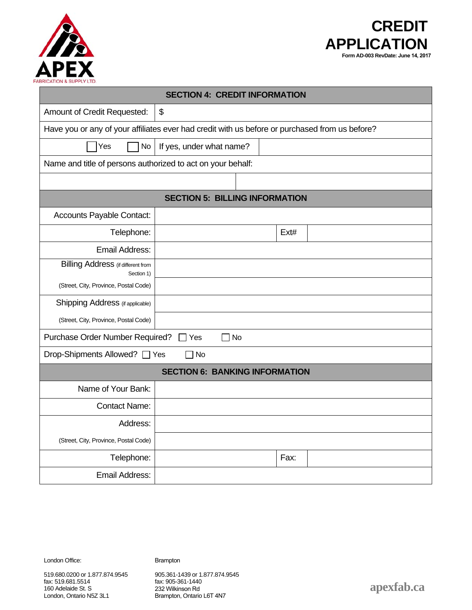



| <b>SECTION 4: CREDIT INFORMATION</b>                                                           |                                                             |  |  |      |  |
|------------------------------------------------------------------------------------------------|-------------------------------------------------------------|--|--|------|--|
| Amount of Credit Requested:                                                                    | \$                                                          |  |  |      |  |
| Have you or any of your affiliates ever had credit with us before or purchased from us before? |                                                             |  |  |      |  |
| Yes<br><b>No</b>                                                                               | If yes, under what name?                                    |  |  |      |  |
|                                                                                                | Name and title of persons authorized to act on your behalf: |  |  |      |  |
|                                                                                                |                                                             |  |  |      |  |
| <b>SECTION 5: BILLING INFORMATION</b>                                                          |                                                             |  |  |      |  |
| <b>Accounts Payable Contact:</b>                                                               |                                                             |  |  |      |  |
| Telephone:                                                                                     |                                                             |  |  | Ext# |  |
| <b>Email Address:</b>                                                                          |                                                             |  |  |      |  |
| <b>Billing Address</b> (if different from<br>Section 1)                                        |                                                             |  |  |      |  |
| (Street, City, Province, Postal Code)                                                          |                                                             |  |  |      |  |
| Shipping Address (if applicable)                                                               |                                                             |  |  |      |  |
| (Street, City, Province, Postal Code)                                                          |                                                             |  |  |      |  |
| Purchase Order Number Required?<br>$\Box$ No<br>$\Box$ Yes                                     |                                                             |  |  |      |  |
| Drop-Shipments Allowed? □ Yes<br>7 No                                                          |                                                             |  |  |      |  |
| <b>SECTION 6: BANKING INFORMATION</b>                                                          |                                                             |  |  |      |  |
| Name of Your Bank:                                                                             |                                                             |  |  |      |  |
| <b>Contact Name:</b>                                                                           |                                                             |  |  |      |  |
| Address:                                                                                       |                                                             |  |  |      |  |
| (Street, City, Province, Postal Code)                                                          |                                                             |  |  |      |  |
| Telephone:                                                                                     |                                                             |  |  | Fax: |  |
| Email Address:                                                                                 |                                                             |  |  |      |  |

London Office: Brampton

905.361-1439 or 1.877.874.9545 fax: 905-361-1440 232 Wilkinson Rd Brampton, Ontario L6T 4N7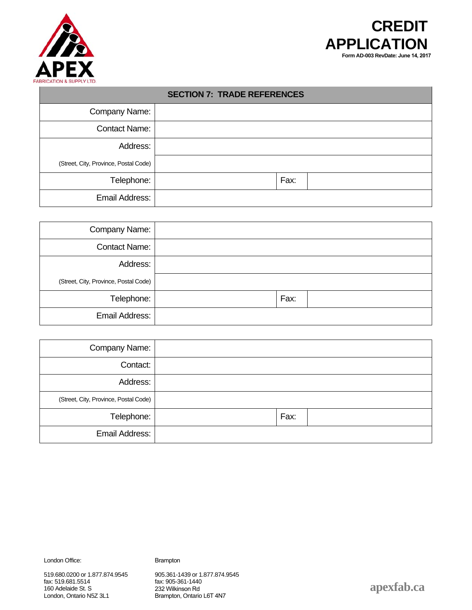



| <b>SECTION 7: TRADE REFERENCES</b>    |  |      |  |
|---------------------------------------|--|------|--|
| Company Name:                         |  |      |  |
| <b>Contact Name:</b>                  |  |      |  |
| Address:                              |  |      |  |
| (Street, City, Province, Postal Code) |  |      |  |
| Telephone:                            |  | Fax: |  |
| Email Address:                        |  |      |  |

| Company Name:                         |      |
|---------------------------------------|------|
| <b>Contact Name:</b>                  |      |
| Address:                              |      |
| (Street, City, Province, Postal Code) |      |
| Telephone:                            | Fax: |
| Email Address:                        |      |

| Company Name:                         |      |
|---------------------------------------|------|
| Contact:                              |      |
| Address:                              |      |
| (Street, City, Province, Postal Code) |      |
| Telephone:                            | Fax: |
| Email Address:                        |      |

London Office: Brampton

905.361-1439 or 1.877.874.9545 fax: 905-361-1440 232 Wilkinson Rd Brampton, Ontario L6T 4N7